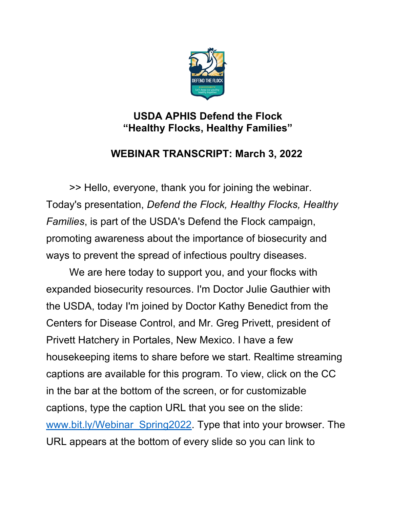

## **USDA APHIS Defend the Flock "Healthy Flocks, Healthy Families"**

## **WEBINAR TRANSCRIPT: March 3, 2022**

>> Hello, everyone, thank you for joining the webinar. Today's presentation, *Defend the Flock, Healthy Flocks, Healthy Families*, is part of the USDA's Defend the Flock campaign, promoting awareness about the importance of biosecurity and ways to prevent the spread of infectious poultry diseases.

We are here today to support you, and your flocks with expanded biosecurity resources. I'm Doctor Julie Gauthier with the USDA, today I'm joined by Doctor Kathy Benedict from the Centers for Disease Control, and Mr. Greg Privett, president of Privett Hatchery in Portales, New Mexico. I have a few housekeeping items to share before we start. Realtime streaming captions are available for this program. To view, click on the CC in the bar at the bottom of the screen, or for customizable captions, type the caption URL that you see on the slide: [www.bit.ly/Webinar\\_Spring2022.](http://www.bit.ly/Webinar_Spring2022) Type that into your browser. The URL appears at the bottom of every slide so you can link to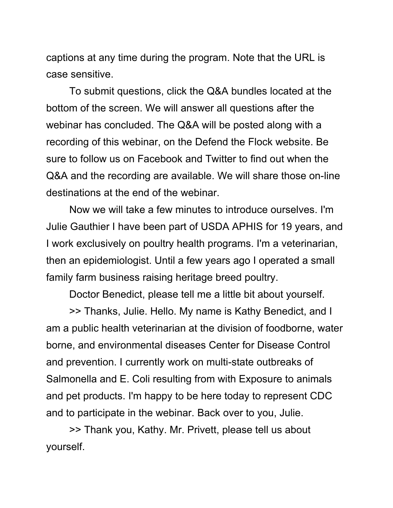captions at any time during the program. Note that the URL is case sensitive.

To submit questions, click the Q&A bundles located at the bottom of the screen. We will answer all questions after the webinar has concluded. The Q&A will be posted along with a recording of this webinar, on the Defend the Flock website. Be sure to follow us on Facebook and Twitter to find out when the Q&A and the recording are available. We will share those on-line destinations at the end of the webinar.

Now we will take a few minutes to introduce ourselves. I'm Julie Gauthier I have been part of USDA APHIS for 19 years, and I work exclusively on poultry health programs. I'm a veterinarian, then an epidemiologist. Until a few years ago I operated a small family farm business raising heritage breed poultry.

Doctor Benedict, please tell me a little bit about yourself.

>> Thanks, Julie. Hello. My name is Kathy Benedict, and I am a public health veterinarian at the division of foodborne, water borne, and environmental diseases Center for Disease Control and prevention. I currently work on multi-state outbreaks of Salmonella and E. Coli resulting from with Exposure to animals and pet products. I'm happy to be here today to represent CDC and to participate in the webinar. Back over to you, Julie.

>> Thank you, Kathy. Mr. Privett, please tell us about yourself.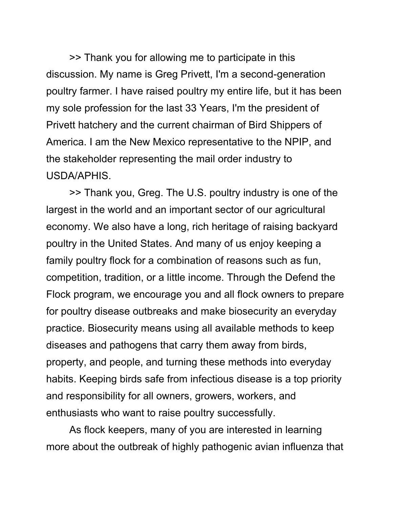>> Thank you for allowing me to participate in this discussion. My name is Greg Privett, I'm a second-generation poultry farmer. I have raised poultry my entire life, but it has been my sole profession for the last 33 Years, I'm the president of Privett hatchery and the current chairman of Bird Shippers of America. I am the New Mexico representative to the NPIP, and the stakeholder representing the mail order industry to USDA/APHIS.

>> Thank you, Greg. The U.S. poultry industry is one of the largest in the world and an important sector of our agricultural economy. We also have a long, rich heritage of raising backyard poultry in the United States. And many of us enjoy keeping a family poultry flock for a combination of reasons such as fun, competition, tradition, or a little income. Through the Defend the Flock program, we encourage you and all flock owners to prepare for poultry disease outbreaks and make biosecurity an everyday practice. Biosecurity means using all available methods to keep diseases and pathogens that carry them away from birds, property, and people, and turning these methods into everyday habits. Keeping birds safe from infectious disease is a top priority and responsibility for all owners, growers, workers, and enthusiasts who want to raise poultry successfully.

As flock keepers, many of you are interested in learning more about the outbreak of highly pathogenic avian influenza that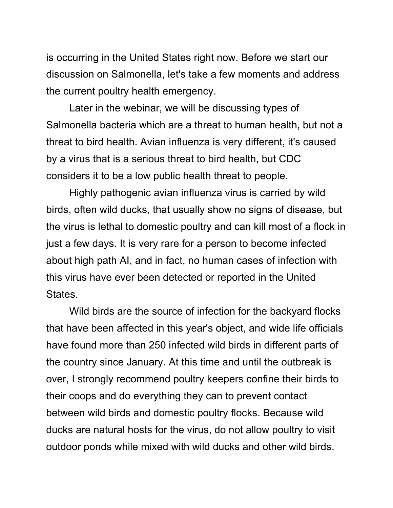is occurring in the United States right now. Before we start our discussion on Salmonella, let's take a few moments and address the current poultry health emergency.

Later in the webinar, we will be discussing types of Salmonella bacteria which are a threat to human health, but not a threat to bird health. Avian influenza is very different, it's caused by a virus that is a serious threat to bird health, but CDC considers it to be a low public health threat to people.

Highly pathogenic avian influenza virus is carried by wild birds, often wild ducks, that usually show no signs of disease, but the virus is lethal to domestic poultry and can kill most of a flock in just a few days. It is very rare for a person to become infected about high path AI, and in fact, no human cases of infection with this virus have ever been detected or reported in the United **States** 

Wild birds are the source of infection for the backyard flocks that have been affected in this year's object, and wide life officials have found more than 250 infected wild birds in different parts of the country since January. At this time and until the outbreak is over, I strongly recommend poultry keepers confine their birds to their coops and do everything they can to prevent contact between wild birds and domestic poultry flocks. Because wild ducks are natural hosts for the virus, do not allow poultry to visit outdoor ponds while mixed with wild ducks and other wild birds.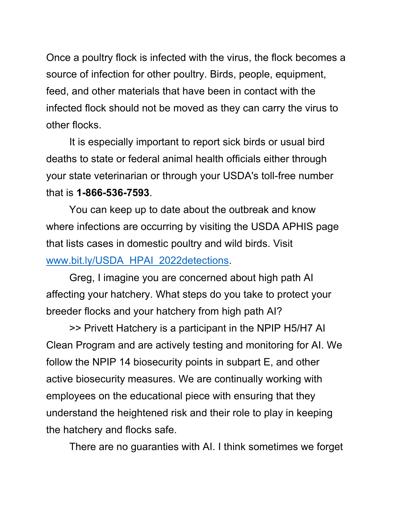Once a poultry flock is infected with the virus, the flock becomes a source of infection for other poultry. Birds, people, equipment, feed, and other materials that have been in contact with the infected flock should not be moved as they can carry the virus to other flocks.

It is especially important to report sick birds or usual bird deaths to state or federal animal health officials either through your state veterinarian or through your USDA's toll-free number that is **1-866-536-7593**.

You can keep up to date about the outbreak and know where infections are occurring by visiting the USDA APHIS page that lists cases in domestic poultry and wild birds. Visit [www.bit.ly/USDA\\_HPAI\\_2022detections.](http://www.bit.ly/USDA_HPAI_2022detections)

Greg, I imagine you are concerned about high path AI affecting your hatchery. What steps do you take to protect your breeder flocks and your hatchery from high path AI?

>> Privett Hatchery is a participant in the NPIP H5/H7 AI Clean Program and are actively testing and monitoring for AI. We follow the NPIP 14 biosecurity points in subpart E, and other active biosecurity measures. We are continually working with employees on the educational piece with ensuring that they understand the heightened risk and their role to play in keeping the hatchery and flocks safe.

There are no guaranties with AI. I think sometimes we forget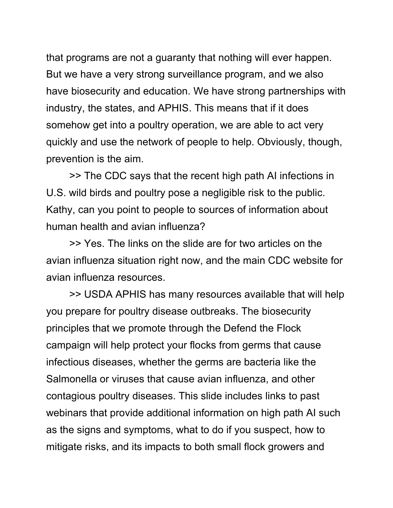that programs are not a guaranty that nothing will ever happen. But we have a very strong surveillance program, and we also have biosecurity and education. We have strong partnerships with industry, the states, and APHIS. This means that if it does somehow get into a poultry operation, we are able to act very quickly and use the network of people to help. Obviously, though, prevention is the aim.

>> The CDC says that the recent high path AI infections in U.S. wild birds and poultry pose a negligible risk to the public. Kathy, can you point to people to sources of information about human health and avian influenza?

>> Yes. The links on the slide are for two articles on the avian influenza situation right now, and the main CDC website for avian influenza resources.

>> USDA APHIS has many resources available that will help you prepare for poultry disease outbreaks. The biosecurity principles that we promote through the Defend the Flock campaign will help protect your flocks from germs that cause infectious diseases, whether the germs are bacteria like the Salmonella or viruses that cause avian influenza, and other contagious poultry diseases. This slide includes links to past webinars that provide additional information on high path AI such as the signs and symptoms, what to do if you suspect, how to mitigate risks, and its impacts to both small flock growers and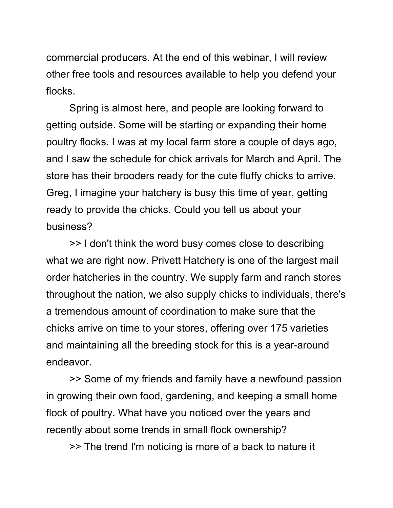commercial producers. At the end of this webinar, I will review other free tools and resources available to help you defend your flocks.

Spring is almost here, and people are looking forward to getting outside. Some will be starting or expanding their home poultry flocks. I was at my local farm store a couple of days ago, and I saw the schedule for chick arrivals for March and April. The store has their brooders ready for the cute fluffy chicks to arrive. Greg, I imagine your hatchery is busy this time of year, getting ready to provide the chicks. Could you tell us about your business?

>> I don't think the word busy comes close to describing what we are right now. Privett Hatchery is one of the largest mail order hatcheries in the country. We supply farm and ranch stores throughout the nation, we also supply chicks to individuals, there's a tremendous amount of coordination to make sure that the chicks arrive on time to your stores, offering over 175 varieties and maintaining all the breeding stock for this is a year-around endeavor.

>> Some of my friends and family have a newfound passion in growing their own food, gardening, and keeping a small home flock of poultry. What have you noticed over the years and recently about some trends in small flock ownership?

>> The trend I'm noticing is more of a back to nature it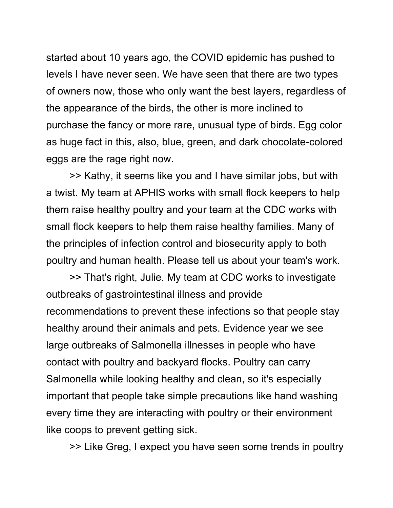started about 10 years ago, the COVID epidemic has pushed to levels I have never seen. We have seen that there are two types of owners now, those who only want the best layers, regardless of the appearance of the birds, the other is more inclined to purchase the fancy or more rare, unusual type of birds. Egg color as huge fact in this, also, blue, green, and dark chocolate-colored eggs are the rage right now.

>> Kathy, it seems like you and I have similar jobs, but with a twist. My team at APHIS works with small flock keepers to help them raise healthy poultry and your team at the CDC works with small flock keepers to help them raise healthy families. Many of the principles of infection control and biosecurity apply to both poultry and human health. Please tell us about your team's work.

>> That's right, Julie. My team at CDC works to investigate outbreaks of gastrointestinal illness and provide recommendations to prevent these infections so that people stay healthy around their animals and pets. Evidence year we see large outbreaks of Salmonella illnesses in people who have contact with poultry and backyard flocks. Poultry can carry Salmonella while looking healthy and clean, so it's especially important that people take simple precautions like hand washing every time they are interacting with poultry or their environment like coops to prevent getting sick.

>> Like Greg, I expect you have seen some trends in poultry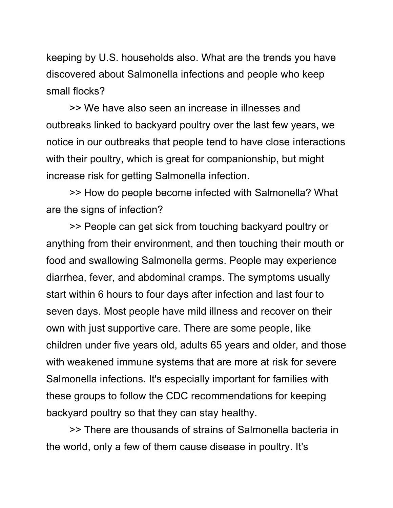keeping by U.S. households also. What are the trends you have discovered about Salmonella infections and people who keep small flocks?

>> We have also seen an increase in illnesses and outbreaks linked to backyard poultry over the last few years, we notice in our outbreaks that people tend to have close interactions with their poultry, which is great for companionship, but might increase risk for getting Salmonella infection.

>> How do people become infected with Salmonella? What are the signs of infection?

>> People can get sick from touching backyard poultry or anything from their environment, and then touching their mouth or food and swallowing Salmonella germs. People may experience diarrhea, fever, and abdominal cramps. The symptoms usually start within 6 hours to four days after infection and last four to seven days. Most people have mild illness and recover on their own with just supportive care. There are some people, like children under five years old, adults 65 years and older, and those with weakened immune systems that are more at risk for severe Salmonella infections. It's especially important for families with these groups to follow the CDC recommendations for keeping backyard poultry so that they can stay healthy.

>> There are thousands of strains of Salmonella bacteria in the world, only a few of them cause disease in poultry. It's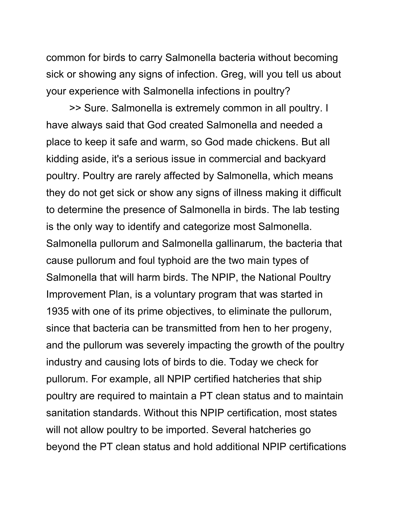common for birds to carry Salmonella bacteria without becoming sick or showing any signs of infection. Greg, will you tell us about your experience with Salmonella infections in poultry?

>> Sure. Salmonella is extremely common in all poultry. I have always said that God created Salmonella and needed a place to keep it safe and warm, so God made chickens. But all kidding aside, it's a serious issue in commercial and backyard poultry. Poultry are rarely affected by Salmonella, which means they do not get sick or show any signs of illness making it difficult to determine the presence of Salmonella in birds. The lab testing is the only way to identify and categorize most Salmonella. Salmonella pullorum and Salmonella gallinarum, the bacteria that cause pullorum and foul typhoid are the two main types of Salmonella that will harm birds. The NPIP, the National Poultry Improvement Plan, is a voluntary program that was started in 1935 with one of its prime objectives, to eliminate the pullorum, since that bacteria can be transmitted from hen to her progeny, and the pullorum was severely impacting the growth of the poultry industry and causing lots of birds to die. Today we check for pullorum. For example, all NPIP certified hatcheries that ship poultry are required to maintain a PT clean status and to maintain sanitation standards. Without this NPIP certification, most states will not allow poultry to be imported. Several hatcheries go beyond the PT clean status and hold additional NPIP certifications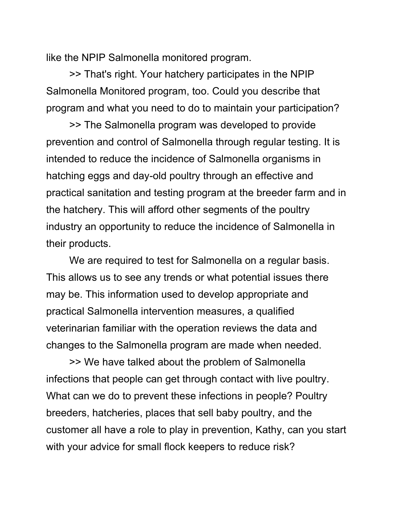like the NPIP Salmonella monitored program.

>> That's right. Your hatchery participates in the NPIP Salmonella Monitored program, too. Could you describe that program and what you need to do to maintain your participation?

>> The Salmonella program was developed to provide prevention and control of Salmonella through regular testing. It is intended to reduce the incidence of Salmonella organisms in hatching eggs and day-old poultry through an effective and practical sanitation and testing program at the breeder farm and in the hatchery. This will afford other segments of the poultry industry an opportunity to reduce the incidence of Salmonella in their products.

We are required to test for Salmonella on a regular basis. This allows us to see any trends or what potential issues there may be. This information used to develop appropriate and practical Salmonella intervention measures, a qualified veterinarian familiar with the operation reviews the data and changes to the Salmonella program are made when needed.

>> We have talked about the problem of Salmonella infections that people can get through contact with live poultry. What can we do to prevent these infections in people? Poultry breeders, hatcheries, places that sell baby poultry, and the customer all have a role to play in prevention, Kathy, can you start with your advice for small flock keepers to reduce risk?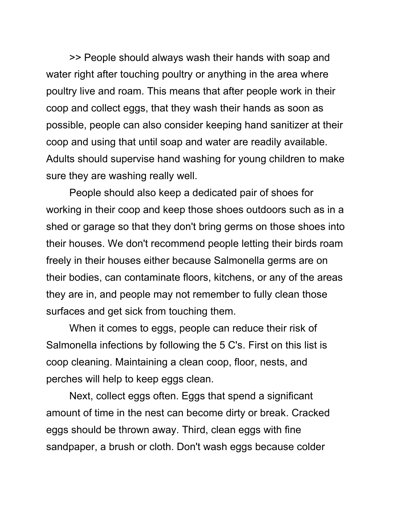>> People should always wash their hands with soap and water right after touching poultry or anything in the area where poultry live and roam. This means that after people work in their coop and collect eggs, that they wash their hands as soon as possible, people can also consider keeping hand sanitizer at their coop and using that until soap and water are readily available. Adults should supervise hand washing for young children to make sure they are washing really well.

People should also keep a dedicated pair of shoes for working in their coop and keep those shoes outdoors such as in a shed or garage so that they don't bring germs on those shoes into their houses. We don't recommend people letting their birds roam freely in their houses either because Salmonella germs are on their bodies, can contaminate floors, kitchens, or any of the areas they are in, and people may not remember to fully clean those surfaces and get sick from touching them.

When it comes to eggs, people can reduce their risk of Salmonella infections by following the 5 C's. First on this list is coop cleaning. Maintaining a clean coop, floor, nests, and perches will help to keep eggs clean.

Next, collect eggs often. Eggs that spend a significant amount of time in the nest can become dirty or break. Cracked eggs should be thrown away. Third, clean eggs with fine sandpaper, a brush or cloth. Don't wash eggs because colder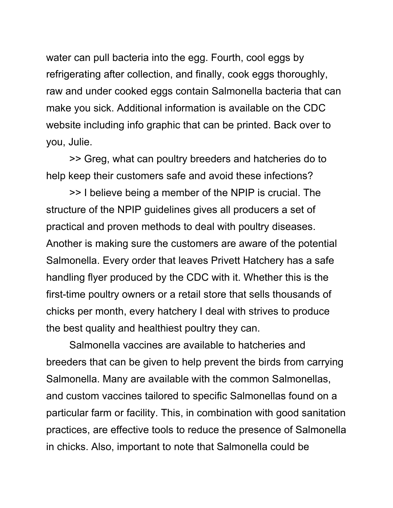water can pull bacteria into the egg. Fourth, cool eggs by refrigerating after collection, and finally, cook eggs thoroughly, raw and under cooked eggs contain Salmonella bacteria that can make you sick. Additional information is available on the CDC website including info graphic that can be printed. Back over to you, Julie.

>> Greg, what can poultry breeders and hatcheries do to help keep their customers safe and avoid these infections?

>> I believe being a member of the NPIP is crucial. The structure of the NPIP guidelines gives all producers a set of practical and proven methods to deal with poultry diseases. Another is making sure the customers are aware of the potential Salmonella. Every order that leaves Privett Hatchery has a safe handling flyer produced by the CDC with it. Whether this is the first-time poultry owners or a retail store that sells thousands of chicks per month, every hatchery I deal with strives to produce the best quality and healthiest poultry they can.

Salmonella vaccines are available to hatcheries and breeders that can be given to help prevent the birds from carrying Salmonella. Many are available with the common Salmonellas, and custom vaccines tailored to specific Salmonellas found on a particular farm or facility. This, in combination with good sanitation practices, are effective tools to reduce the presence of Salmonella in chicks. Also, important to note that Salmonella could be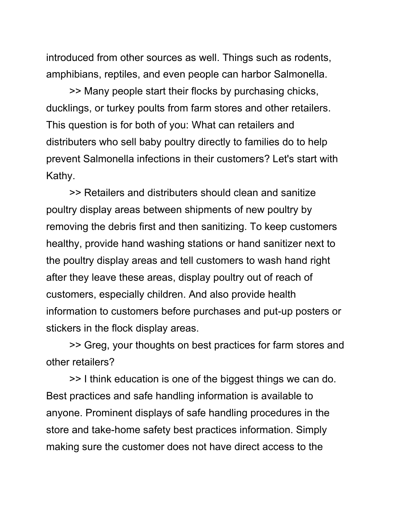introduced from other sources as well. Things such as rodents, amphibians, reptiles, and even people can harbor Salmonella.

>> Many people start their flocks by purchasing chicks, ducklings, or turkey poults from farm stores and other retailers. This question is for both of you: What can retailers and distributers who sell baby poultry directly to families do to help prevent Salmonella infections in their customers? Let's start with Kathy.

>> Retailers and distributers should clean and sanitize poultry display areas between shipments of new poultry by removing the debris first and then sanitizing. To keep customers healthy, provide hand washing stations or hand sanitizer next to the poultry display areas and tell customers to wash hand right after they leave these areas, display poultry out of reach of customers, especially children. And also provide health information to customers before purchases and put-up posters or stickers in the flock display areas.

>> Greg, your thoughts on best practices for farm stores and other retailers?

>> I think education is one of the biggest things we can do. Best practices and safe handling information is available to anyone. Prominent displays of safe handling procedures in the store and take-home safety best practices information. Simply making sure the customer does not have direct access to the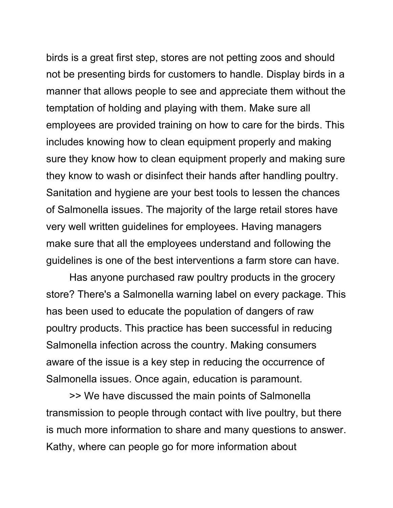birds is a great first step, stores are not petting zoos and should not be presenting birds for customers to handle. Display birds in a manner that allows people to see and appreciate them without the temptation of holding and playing with them. Make sure all employees are provided training on how to care for the birds. This includes knowing how to clean equipment properly and making sure they know how to clean equipment properly and making sure they know to wash or disinfect their hands after handling poultry. Sanitation and hygiene are your best tools to lessen the chances of Salmonella issues. The majority of the large retail stores have very well written guidelines for employees. Having managers make sure that all the employees understand and following the guidelines is one of the best interventions a farm store can have.

Has anyone purchased raw poultry products in the grocery store? There's a Salmonella warning label on every package. This has been used to educate the population of dangers of raw poultry products. This practice has been successful in reducing Salmonella infection across the country. Making consumers aware of the issue is a key step in reducing the occurrence of Salmonella issues. Once again, education is paramount.

>> We have discussed the main points of Salmonella transmission to people through contact with live poultry, but there is much more information to share and many questions to answer. Kathy, where can people go for more information about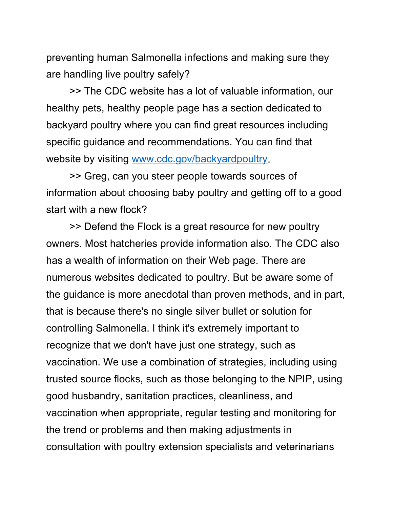preventing human Salmonella infections and making sure they are handling live poultry safely?

>> The CDC website has a lot of valuable information, our healthy pets, healthy people page has a section dedicated to backyard poultry where you can find great resources including specific guidance and recommendations. You can find that website by visiting [www.cdc.gov/backyardpoultry.](http://www.cdc.gov/backyardpoultry)

>> Greg, can you steer people towards sources of information about choosing baby poultry and getting off to a good start with a new flock?

>> Defend the Flock is a great resource for new poultry owners. Most hatcheries provide information also. The CDC also has a wealth of information on their Web page. There are numerous websites dedicated to poultry. But be aware some of the guidance is more anecdotal than proven methods, and in part, that is because there's no single silver bullet or solution for controlling Salmonella. I think it's extremely important to recognize that we don't have just one strategy, such as vaccination. We use a combination of strategies, including using trusted source flocks, such as those belonging to the NPIP, using good husbandry, sanitation practices, cleanliness, and vaccination when appropriate, regular testing and monitoring for the trend or problems and then making adjustments in consultation with poultry extension specialists and veterinarians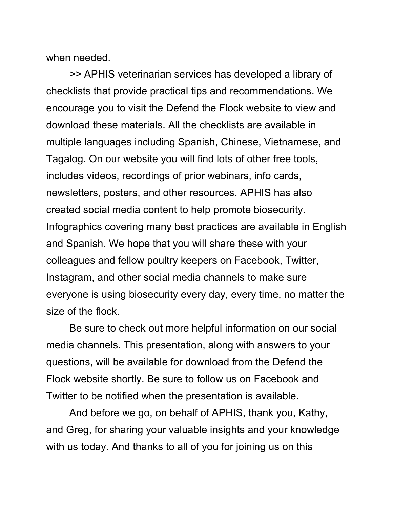when needed.

>> APHIS veterinarian services has developed a library of checklists that provide practical tips and recommendations. We encourage you to visit the Defend the Flock website to view and download these materials. All the checklists are available in multiple languages including Spanish, Chinese, Vietnamese, and Tagalog. On our website you will find lots of other free tools, includes videos, recordings of prior webinars, info cards, newsletters, posters, and other resources. APHIS has also created social media content to help promote biosecurity. Infographics covering many best practices are available in English and Spanish. We hope that you will share these with your colleagues and fellow poultry keepers on Facebook, Twitter, Instagram, and other social media channels to make sure everyone is using biosecurity every day, every time, no matter the size of the flock.

Be sure to check out more helpful information on our social media channels. This presentation, along with answers to your questions, will be available for download from the Defend the Flock website shortly. Be sure to follow us on Facebook and Twitter to be notified when the presentation is available.

And before we go, on behalf of APHIS, thank you, Kathy, and Greg, for sharing your valuable insights and your knowledge with us today. And thanks to all of you for joining us on this